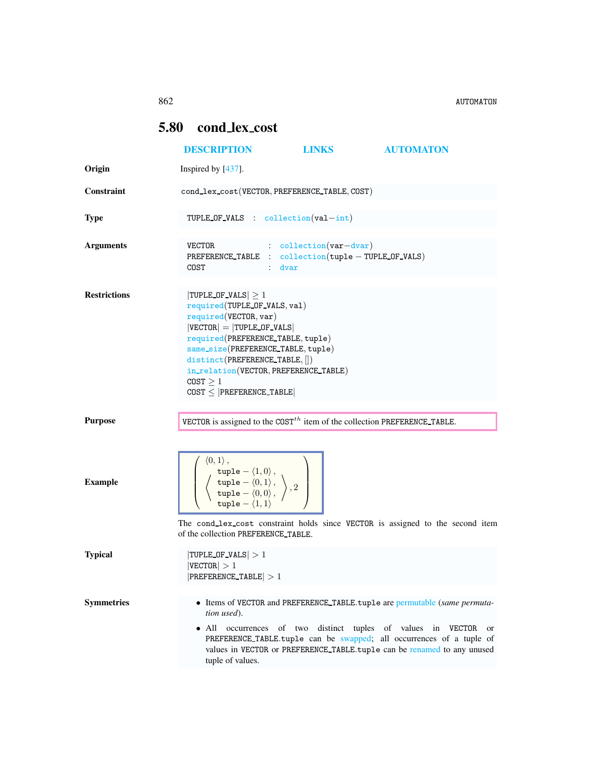## <span id="page-0-0"></span>5.80 cond lex cost

|                     | <b>DESCRIPTION</b>                                                                                                                                                                                                                                                                                                       | <b>LINKS</b>                                                                                           | <b>AUTOMATON</b>                                                                                                                                                                                                                                                                                 |
|---------------------|--------------------------------------------------------------------------------------------------------------------------------------------------------------------------------------------------------------------------------------------------------------------------------------------------------------------------|--------------------------------------------------------------------------------------------------------|--------------------------------------------------------------------------------------------------------------------------------------------------------------------------------------------------------------------------------------------------------------------------------------------------|
| Origin              | Inspired by [437].                                                                                                                                                                                                                                                                                                       |                                                                                                        |                                                                                                                                                                                                                                                                                                  |
| Constraint          | cond_lex_cost(VECTOR, PREFERENCE_TABLE, COST)                                                                                                                                                                                                                                                                            |                                                                                                        |                                                                                                                                                                                                                                                                                                  |
| <b>Type</b>         |                                                                                                                                                                                                                                                                                                                          | TUPLE_OF_VALS : $\text{collection}(val-int)$                                                           |                                                                                                                                                                                                                                                                                                  |
| <b>Arguments</b>    | VECTOR<br>COST                                                                                                                                                                                                                                                                                                           | $\therefore$ collection (var-dvar)<br>PREFERENCE_TABLE : collection(tuple - TUPLE_OF_VALS)<br>$:$ dvar |                                                                                                                                                                                                                                                                                                  |
| <b>Restrictions</b> | TUPLE OF VALS $\geq 1$<br>required(TUPLE_OF_VALS, val)<br>required(VECTOR, var)<br>$ VECTOR  =  T U P LE_O F_V ALS $<br>required(PREFERENCE_TABLE, tuple)<br>same_size(PREFERENCE_TABLE, tuple)<br>distinct(PREFERENCE_TABLE, [])<br>in_relation(VECTOR, PREFERENCE_TABLE)<br>COST > 1<br>$COST \leq  PREFERENCE_TABLE $ |                                                                                                        |                                                                                                                                                                                                                                                                                                  |
| <b>Purpose</b>      |                                                                                                                                                                                                                                                                                                                          | VECTOR is assigned to the COST <sup>th</sup> item of the collection PREFERENCE_TABLE.                  |                                                                                                                                                                                                                                                                                                  |
| <b>Example</b>      | $\langle 0,1\rangle$ ,<br>$\left(\begin{array}{c}\texttt{tuple} - \langle 1,0\rangle\,,\\ \texttt{tuple} - \langle 0,1\rangle\,,\\ \texttt{tuple} - \langle 0,0\rangle\,, \end{array}\right),2$<br>of the collection PREFERENCE_TABLE.                                                                                   |                                                                                                        | The cond_lex_cost constraint holds since VECTOR is assigned to the second item                                                                                                                                                                                                                   |
| <b>Typical</b>      | $ TUPLE_OF_VALS  > 1$<br> VECTOR  > 1<br>$ PREFERENCE_{TABLE}  > 1$                                                                                                                                                                                                                                                      |                                                                                                        |                                                                                                                                                                                                                                                                                                  |
| <b>Symmetries</b>   | tion used).<br>tuple of values.                                                                                                                                                                                                                                                                                          |                                                                                                        | • Items of VECTOR and PREFERENCE_TABLE.tuple are permutable (same permuta-<br>• All occurrences of two distinct tuples of values in VECTOR or<br>PREFERENCE_TABLE.tuple can be swapped; all occurrences of a tuple of<br>values in VECTOR or PREFERENCE_TABLE.tuple can be renamed to any unused |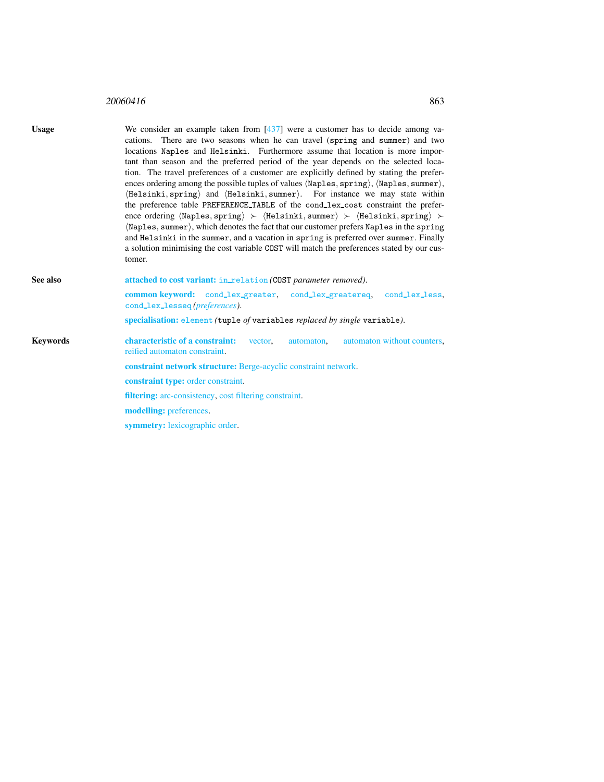## <sup>20060416</sup> 863

<span id="page-1-0"></span>

| <b>Usage</b>    | We consider an example taken from $[437]$ were a customer has to decide among va-<br>cations. There are two seasons when he can travel (spring and summer) and two<br>locations Naples and Helsinki. Furthermore assume that location is more impor-<br>tant than season and the preferred period of the year depends on the selected loca-<br>tion. The travel preferences of a customer are explicitly defined by stating the prefer-<br>ences ordering among the possible tuples of values (Naples, spring), (Naples, summer),<br>(Helsinki, spring) and (Helsinki, summer). For instance we may state within<br>the preference table PREFERENCE_TABLE of the cond_lex_cost constraint the prefer-<br>ence ordering $\langle$ Naples, spring $\rangle \succ \langle$ Helsinki, summer $\rangle \succ \langle$ Helsinki, spring $\rangle \succ$<br>(Naples, summer), which denotes the fact that our customer prefers Naples in the spring<br>and Helsinki in the summer, and a vacation in spring is preferred over summer. Finally<br>a solution minimising the cost variable COST will match the preferences stated by our cus-<br>tomer. |  |  |
|-----------------|------------------------------------------------------------------------------------------------------------------------------------------------------------------------------------------------------------------------------------------------------------------------------------------------------------------------------------------------------------------------------------------------------------------------------------------------------------------------------------------------------------------------------------------------------------------------------------------------------------------------------------------------------------------------------------------------------------------------------------------------------------------------------------------------------------------------------------------------------------------------------------------------------------------------------------------------------------------------------------------------------------------------------------------------------------------------------------------------------------------------------------------------|--|--|
| See also        | attached to cost variant: in_relation (COST parameter removed).                                                                                                                                                                                                                                                                                                                                                                                                                                                                                                                                                                                                                                                                                                                                                                                                                                                                                                                                                                                                                                                                                |  |  |
|                 | common keyword: cond_lex_greater, cond_lex_greatereq,<br>cond_lex_less.<br>cond_lex_lesseq(preferences).                                                                                                                                                                                                                                                                                                                                                                                                                                                                                                                                                                                                                                                                                                                                                                                                                                                                                                                                                                                                                                       |  |  |
|                 | specialisation: element (tuple of variables replaced by single variable).                                                                                                                                                                                                                                                                                                                                                                                                                                                                                                                                                                                                                                                                                                                                                                                                                                                                                                                                                                                                                                                                      |  |  |
| <b>Keywords</b> | characteristic of a constraint:<br>automaton without counters,<br>vector,<br>automaton.<br>reified automaton constraint.                                                                                                                                                                                                                                                                                                                                                                                                                                                                                                                                                                                                                                                                                                                                                                                                                                                                                                                                                                                                                       |  |  |
|                 | constraint network structure: Berge-acyclic constraint network.                                                                                                                                                                                                                                                                                                                                                                                                                                                                                                                                                                                                                                                                                                                                                                                                                                                                                                                                                                                                                                                                                |  |  |
|                 | <b>constraint type:</b> order constraint.                                                                                                                                                                                                                                                                                                                                                                                                                                                                                                                                                                                                                                                                                                                                                                                                                                                                                                                                                                                                                                                                                                      |  |  |
|                 | <b>filtering:</b> arc-consistency, cost filtering constraint.                                                                                                                                                                                                                                                                                                                                                                                                                                                                                                                                                                                                                                                                                                                                                                                                                                                                                                                                                                                                                                                                                  |  |  |
|                 | modelling: preferences.                                                                                                                                                                                                                                                                                                                                                                                                                                                                                                                                                                                                                                                                                                                                                                                                                                                                                                                                                                                                                                                                                                                        |  |  |
|                 | <b>symmetry:</b> lexicographic order.                                                                                                                                                                                                                                                                                                                                                                                                                                                                                                                                                                                                                                                                                                                                                                                                                                                                                                                                                                                                                                                                                                          |  |  |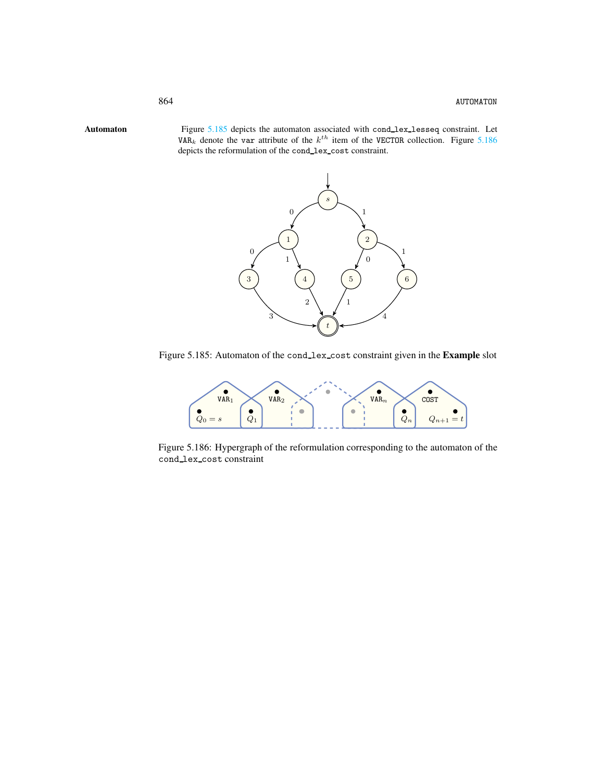Automaton Figure [5.185](#page-2-1) depicts the automaton associated with cond\_lex\_lesseq constraint. Let VAR<sub>k</sub> denote the var attribute of the  $k^{th}$  item of the VECTOR collection. Figure [5.186](#page-2-2) depicts the reformulation of the cond lex cost constraint.

<span id="page-2-0"></span>

Figure 5.185: Automaton of the cond\_lex\_cost constraint given in the Example slot

<span id="page-2-1"></span>

<span id="page-2-2"></span>Figure 5.186: Hypergraph of the reformulation corresponding to the automaton of the cond lex cost constraint